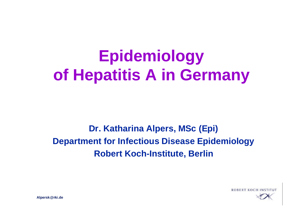# **Epidemiology of Hepatitis A in Germany**

**Dr. Katharina Alpers, MSc (Epi) Department for Infectious Disease Epidemiology Robert Koch-Institute, Berlin**

**ROBERT KOCH INS** 

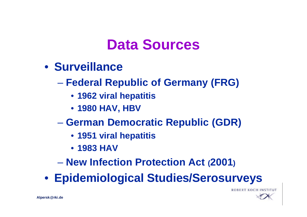### **Data Sources**

- **Surveillance**
	- **Federal Republic of Germany (FRG)**
		- **1962 viral hepatitis**
		- **1980 HAV, HBV**
	- **German Democratic Republic (GDR)**
		- **1951 viral hepatitis**
		- **1983 HAV**
	- **New Infection Protection Act (2001)**

• **Epidemiological Studies/Serosurveys**



**ROBERT KOCH INS**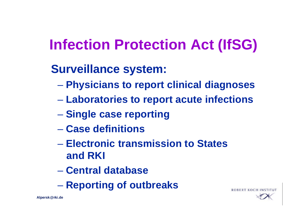# **Infection Protection Act (IfSG)**

- **Surveillance system:**
	- **Physicians to report clinical diagnoses**
	- **Laboratories to report acute infections**
	- **Single case reporting**
	- **Case definitions**
	- **Electronic transmission to States and RKI**
	- **Central database**
	- **Reporting of outbreaks**

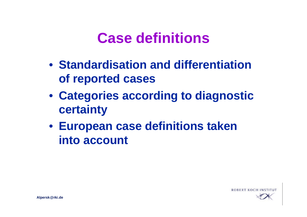### **Case definitions**

- **Standardisation and differentiation of reported cases**
- **Categories according to diagnostic certainty**
- **European case definitions taken into account**

ROBERT KOCH

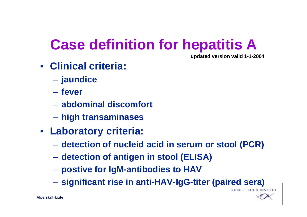# **Case definition for hepatitis A**

**updated version valid 1-1-2004**

- **Clinical criteria:**
	- **jaundice**
	- **fever**
	- **abdominal discomfort**
	- **high transaminases**
- **Laboratory criteria:**
	- **detection of nucleid acid in serum or stool (PCR)**
	- **detection of antigen in stool (ELISA)**
	- **postive for IgM-antibodies to HAV**
	- **significant rise in anti-HAV-IgG-titer (paired sera)**

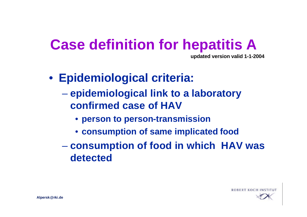# **Case definition for hepatitis A**

**updated version valid 1-1-2004**

- **Epidemiological criteria:**
	- **epidemiological link to a laboratory confirmed case of HAV**
		- **person to person-transmission**
		- **consumption of same implicated food**
	- **consumption of food in which HAV was detected**

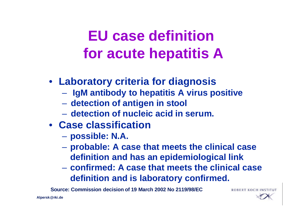# **EU case definition for acute hepatitis A**

- **Laboratory criteria for diagnosis**
	- **IgM antibody to hepatitis A virus positive**
	- **detection of antigen in stool**
	- **detection of nucleic acid in serum.**
- **Case classification**
	- **possible: N.A.**
	- **probable: A case that meets the clinical case definition and has an epidemiological link**
	- **confirmed: A case that meets the clinical case definition and is laboratory confirmed.**

**Source: Commission decision of 19 March 2002 No 2119/98/EC**

**ROBERT KOCH IN** 

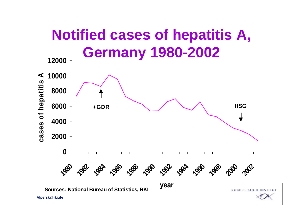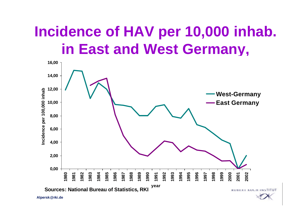# **Incidence of HAV per 10,000 inhab. in East and West Germany,**

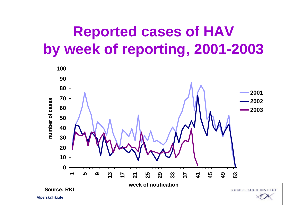# **Reported cases of HAV by week of reporting, 2001-2003**

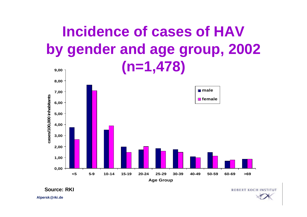#### **Incidence of cases of HAV by gender and age group, 2002 (n=1,478) 9,00**



**Source: RKI**

**ROBERT KOCH INSTITUT** 

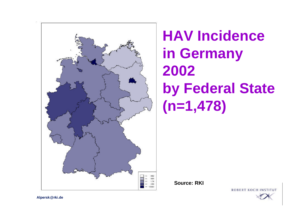

# **HAV Incidence in Germany 2002 by Federal State (n=1,478)**

**Source: RKI**

**ROBERT KOCH INS** 

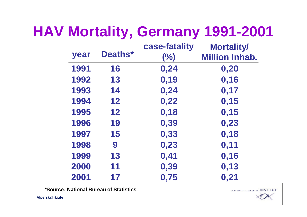| HAV Mortality, Germany 1991-2001 |  |  |
|----------------------------------|--|--|
|----------------------------------|--|--|

| year | Deaths* | case-fatality<br>(%) | <b>Mortality/</b><br><b>Million Inhab.</b> |
|------|---------|----------------------|--------------------------------------------|
| 1991 | 16      | 0,24                 | 0,20                                       |
| 1992 | 13      | 0, 19                | 0,16                                       |
| 1993 | 14      | 0,24                 | 0,17                                       |
| 1994 | 12      | 0,22                 | 0,15                                       |
| 1995 | 12      | 0,18                 | 0,15                                       |
| 1996 | 19      | 0,39                 | 0,23                                       |
| 1997 | 15      | 0,33                 | 0,18                                       |
| 1998 | 9       | 0,23                 | 0,11                                       |
| 1999 | 13      | 0,41                 | 0,16                                       |
| 2000 | 11      | 0,39                 | 0,13                                       |
| 2001 | 17      | 0,75                 | 0,21                                       |

**\*Source: National Bureau of Statistics**

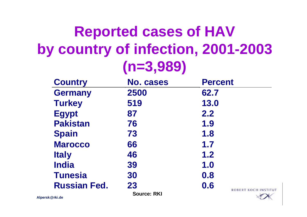# **Reported cases of HAV by country of infection, 2001-2003 (n=3,989)**

| <b>Country</b>      | <b>No. cases</b>   | <b>Percent</b>             |
|---------------------|--------------------|----------------------------|
| <b>Germany</b>      | 2500               | 62.7                       |
| <b>Turkey</b>       | 519                | 13.0                       |
| <b>Egypt</b>        | 87                 | 2.2                        |
| <b>Pakistan</b>     | 76                 | 1.9                        |
| <b>Spain</b>        | 73                 | 1.8                        |
| <b>Marocco</b>      | 66                 | 1.7                        |
| <b>Italy</b>        | 46                 | 1.2                        |
| <b>India</b>        | 39                 | 1.0                        |
| <b>Tunesia</b>      | 30                 | 0.8                        |
| <b>Russian Fed.</b> | 23                 | 0.6<br>ROBERT KOCH INSTITI |
|                     | <b>Source: RKI</b> |                            |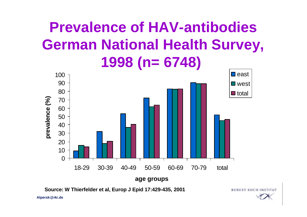# **Prevalence of HAV-antibodies German National Health Survey, 1998 (n= 6748)**



**ROBERT KOCH INSTITUT** 

**Source: W Thierfelder et al, Europ J Epid 17:429-435, 2001**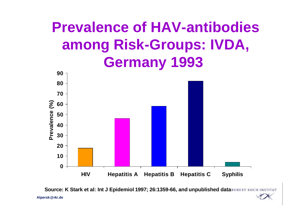## **Prevalence of HAV-antibodies among Risk-Groups: IVDA, Germany 1993**



**Alpersk@rki.de Source: K Stark et al: Int J Epidemiol 1997; 26:1359-66, and unpublished dataROBERT KOCH**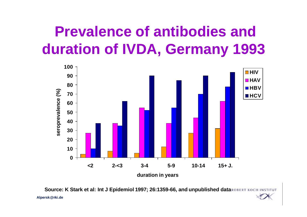# **Prevalence of antibodies and duration of IVDA, Germany 1993**



**duration in years**

**Alpersk@rki.de Source: K Stark et al: Int J Epidemiol 1997; 26:1359-66, and unpublished data ROBERT KOCH INS**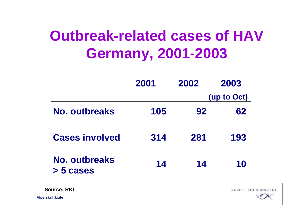# **Outbreak-related cases of HAV Germany, 2001-2003**

|                            | 2001 | 2002 | 2003        |
|----------------------------|------|------|-------------|
|                            |      |      | (up to Oct) |
| <b>No. outbreaks</b>       | 105  | 92   | 62          |
| <b>Cases involved</b>      | 314  | 281  | 193         |
| No. outbreaks<br>> 5 cases | 14   | 14   | 10          |

**Source: RKI**

**Alpersk@rki.de**

**ROBERT KOCH INSTITUT** 

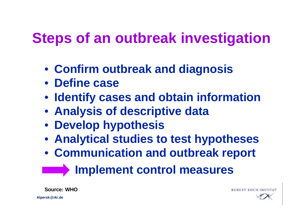# **Steps of an outbreak investigation**

- **Confirm outbreak and diagnosis**
- **Define case**
- **Identify cases and obtain information**
- **Analysis of descriptive data**
- **Develop hypothesis**
- **Analytical studies to test hypotheses**
- **Communication and outbreak report**

#### **External measures**

**Source: WHO**

**ROBERT KOCH IN**